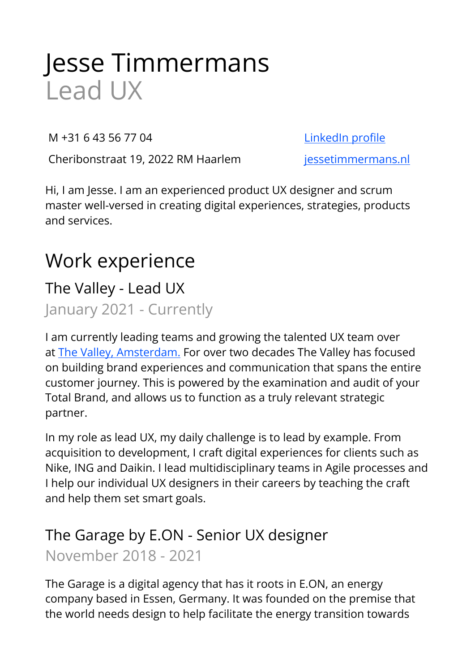# Jesse Timmermans Lead UX

M +31 6 43 56 77 04 [LinkedIn profile](https://www.linkedin.com/in/jessetimmermans) 

Cheribonstraat 19, 2022 RM Haarlem [jessetimmermans.nl](http://jessetimmermans.nl)

Hi, I am Jesse. I am an experienced product UX designer and scrum master well-versed in creating digital experiences, strategies, products and services.

## Work experience

### The Valley - Lead UX

January 2021 - Currently

I am currently leading teams and growing the talented UX team over at [The Valley, Amsterdam.](https://thevalley.nl/) For over two decades The Valley has focused on building brand experiences and communication that spans the entire customer journey. This is powered by the examination and audit of your Total Brand, and allows us to function as a truly relevant strategic partner.

In my role as lead UX, my daily challenge is to lead by example. From acquisition to development, I craft digital experiences for clients such as Nike, ING and Daikin. I lead multidisciplinary teams in Agile processes and I help our individual UX designers in their careers by teaching the craft and help them set smart goals.

### The Garage by E.ON - Senior UX designer November 2018 - 2021

The Garage is a digital agency that has it roots in E.ON, an energy company based in Essen, Germany. It was founded on the premise that the world needs design to help facilitate the energy transition towards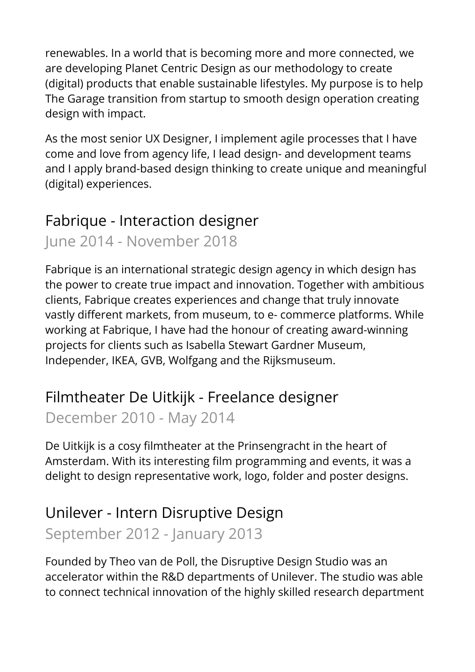renewables. In a world that is becoming more and more connected, we are developing Planet Centric Design as our methodology to create (digital) products that enable sustainable lifestyles. My purpose is to help The Garage transition from startup to smooth design operation creating design with impact.

As the most senior UX Designer, I implement agile processes that I have come and love from agency life, I lead design- and development teams and I apply brand-based design thinking to create unique and meaningful (digital) experiences.

### Fabrique - Interaction designer

June 2014 - November 2018

Fabrique is an international strategic design agency in which design has the power to create true impact and innovation. Together with ambitious clients, Fabrique creates experiences and change that truly innovate vastly different markets, from museum, to e- commerce platforms. While working at Fabrique, I have had the honour of creating award-winning projects for clients such as Isabella Stewart Gardner Museum, Independer, IKEA, GVB, Wolfgang and the Rijksmuseum.

### Filmtheater De Uitkijk - Freelance designer December 2010 - May 2014

De Uitkijk is a cosy filmtheater at the Prinsengracht in the heart of Amsterdam. With its interesting film programming and events, it was a delight to design representative work, logo, folder and poster designs.

### Unilever - Intern Disruptive Design

### September 2012 - January 2013

Founded by Theo van de Poll, the Disruptive Design Studio was an accelerator within the R&D departments of Unilever. The studio was able to connect technical innovation of the highly skilled research department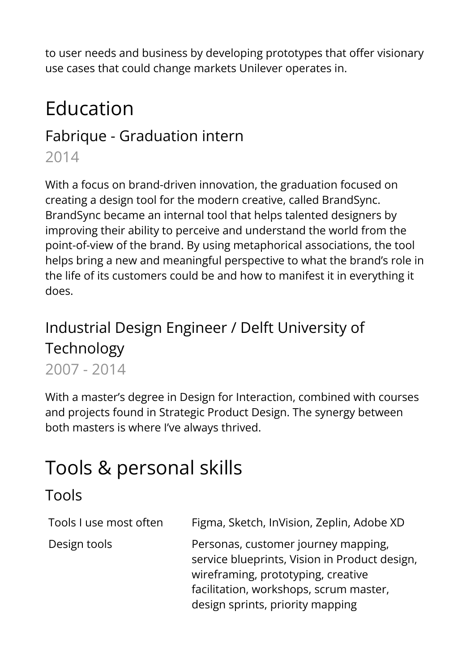to user needs and business by developing prototypes that offer visionary use cases that could change markets Unilever operates in.

## Education

### Fabrique - Graduation intern

2014

With a focus on brand-driven innovation, the graduation focused on creating a design tool for the modern creative, called BrandSync. BrandSync became an internal tool that helps talented designers by improving their ability to perceive and understand the world from the point-of-view of the brand. By using metaphorical associations, the tool helps bring a new and meaningful perspective to what the brand's role in the life of its customers could be and how to manifest it in everything it does.

### Industrial Design Engineer / Delft University of Technology 2007 - 2014

With a master's degree in Design for Interaction, combined with courses and projects found in Strategic Product Design. The synergy between both masters is where I've always thrived.

## Tools & personal skills

### Tools

| Tools I use most often | Figma, Sketch, InVision, Zeplin, Adobe XD                                                                                                                                                                |
|------------------------|----------------------------------------------------------------------------------------------------------------------------------------------------------------------------------------------------------|
| Design tools           | Personas, customer journey mapping,<br>service blueprints, Vision in Product design,<br>wireframing, prototyping, creative<br>facilitation, workshops, scrum master,<br>design sprints, priority mapping |